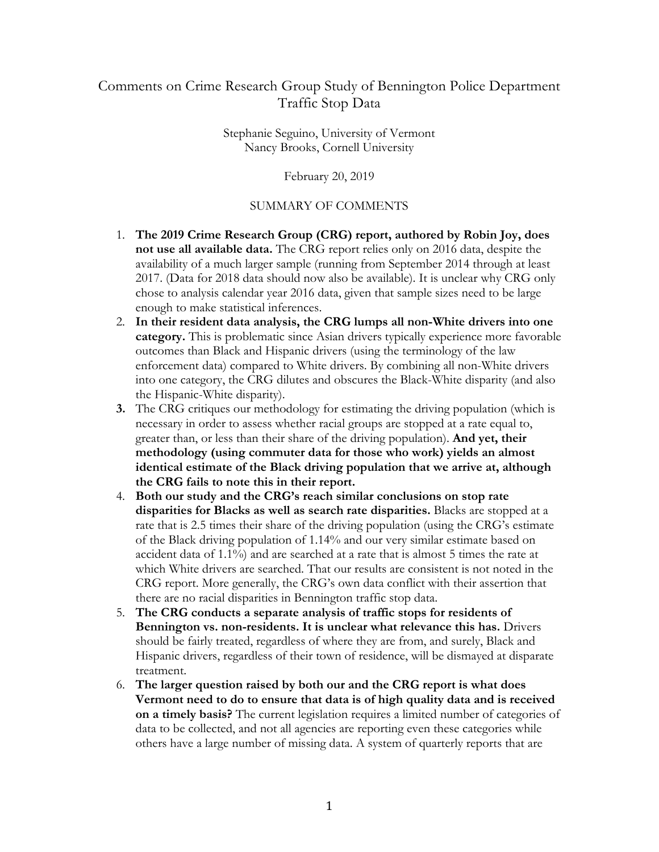## Comments on Crime Research Group Study of Bennington Police Department Traffic Stop Data

Stephanie Seguino, University of Vermont Nancy Brooks, Cornell University

February 20, 2019

#### SUMMARY OF COMMENTS

- 1. **The 2019 Crime Research Group (CRG) report, authored by Robin Joy, does**  availability of a much larger sample (running from September 2014 through at least 2017. (Data for 2018 data should now also be available). It is unclear why CRG only chose to analysis calendar year 2016 data, given that sample sizes need to be large **not use all available data.** The CRG report relies only on 2016 data, despite the enough to make statistical inferences.
- **category.** This is problematic since Asian drivers typically experience more favorable outcomes than Black and Hispanic drivers (using the terminology of the law enforcement data) compared to White drivers. By combining all non-White drivers into one category, the CRG dilutes and obscures the Black-White disparity (and also the Hispanic-White disparity). 2. **In their resident data analysis, the CRG lumps all non-White drivers into one**
- **3.** The CRG critiques our methodology for estimating the driving population (which is necessary in order to assess whether racial groups are stopped at a rate equal to, greater than, or less than their share of the driving population). **And yet, their the CRG fails to note this in their report. methodology (using commuter data for those who work) yields an almost identical estimate of the Black driving population that we arrive at, although**
- 4. **Both our study and the CRG's reach similar conclusions on stop rate**  rate that is 2.5 times their share of the driving population (using the CRG's estimate there are no racial disparities in Bennington traffic stop data. **disparities for Blacks as well as search rate disparities.** Blacks are stopped at a of the Black driving population of 1.14% and our very similar estimate based on accident data of 1.1%) and are searched at a rate that is almost 5 times the rate at which White drivers are searched. That our results are consistent is not noted in the CRG report. More generally, the CRG's own data conflict with their assertion that
- there are no racial disparities in Bennington traffic stop data. 5. **The CRG conducts a separate analysis of traffic stops for residents of Bennington vs. non-residents. It is unclear what relevance this has.** Drivers treatment. should be fairly treated, regardless of where they are from, and surely, Black and Hispanic drivers, regardless of their town of residence, will be dismayed at disparate
- treatment. 6. **The larger question raised by both our and the CRG report is what does Vermont need to do to ensure that data is of high quality data and is received on a timely basis?** The current legislation requires a limited number of categories of data to be collected, and not all agencies are reporting even these categories while others have a large number of missing data. A system of quarterly reports that are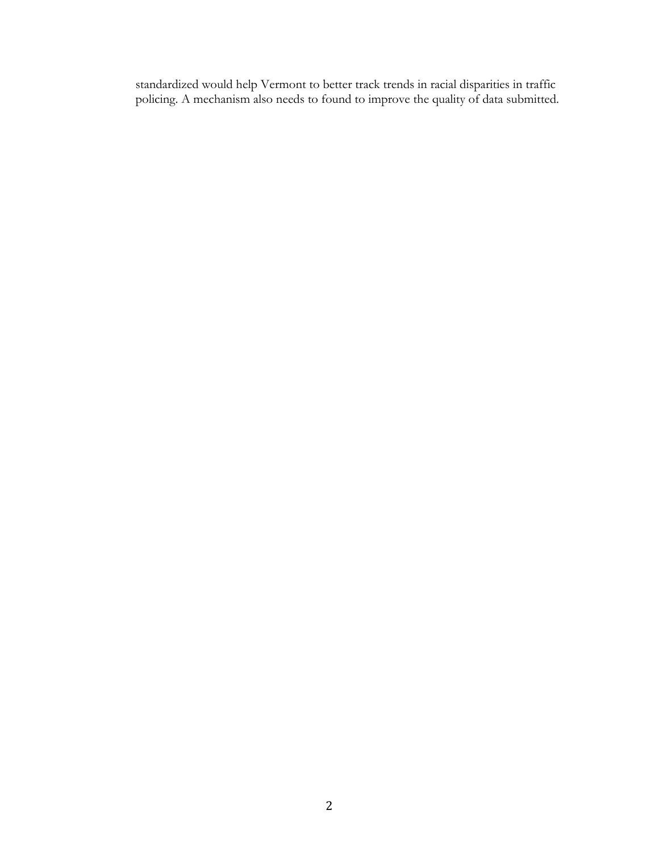standardized would help Vermont to better track trends in racial disparities in traffic policing. A mechanism also needs to found to improve the quality of data submitted.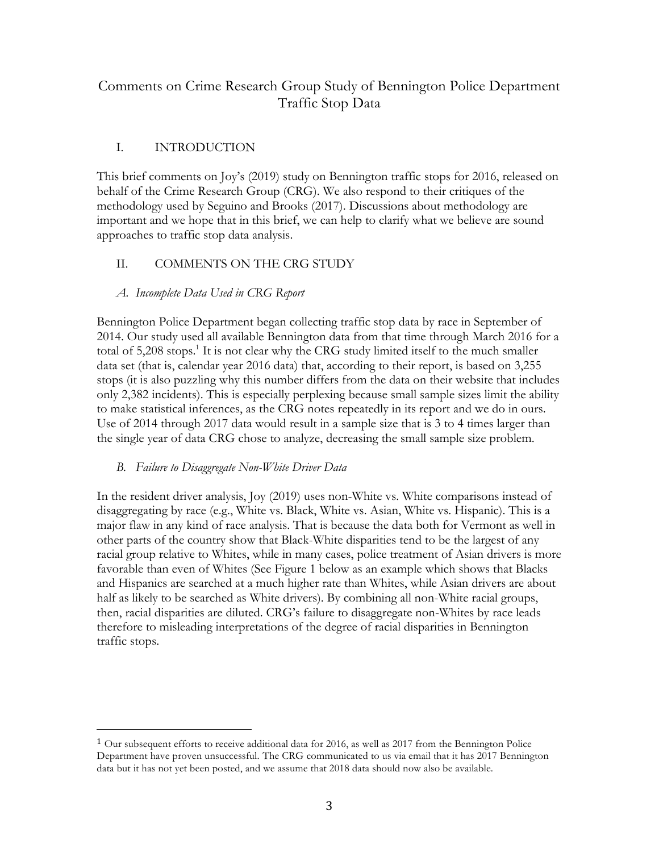# Comments on Crime Research Group Study of Bennington Police Department Traffic Stop Data

## I. INTRODUCTION

 behalf of the Crime Research Group (CRG). We also respond to their critiques of the This brief comments on Joy's (2019) study on Bennington traffic stops for 2016, released on methodology used by Seguino and Brooks (2017). Discussions about methodology are important and we hope that in this brief, we can help to clarify what we believe are sound

# approaches to traffic stop data analysis. II. COMMENTS ON THE CRG STUDY

### *A. Incomplete Data Used in CRG Report*

 2014. Our study used all available Bennington data from that time through March 2016 for a total of 5,208 stops.<sup>1</sup> It is not clear why the CRG study limited itself to the much smaller data set (that is, calendar year 2016 data) that, according to their report, is based on 3,255 stops (it is also puzzling why this number differs from the data on their website that includes only 2,382 incidents). This is especially perplexing because small sample sizes limit the ability to make statistical inferences, as the CRG notes repeatedly in its report and we do in ours. Use of 2014 through 2017 data would result in a sample size that is 3 to 4 times larger than the single year of data CRG chose to analyze, decreasing the small sample size problem. Bennington Police Department began collecting traffic stop data by race in September of

#### *B. Failure to Disaggregate Non-White Driver Data*

 

 In the resident driver analysis, Joy (2019) uses non-White vs. White comparisons instead of disaggregating by race (e.g., White vs. Black, White vs. Asian, White vs. Hispanic). This is a other parts of the country show that Black-White disparities tend to be the largest of any racial group relative to Whites, while in many cases, police treatment of Asian drivers is more then, racial disparities are diluted. CRG's failure to disaggregate non-Whites by race leads traffic stops. major flaw in any kind of race analysis. That is because the data both for Vermont as well in favorable than even of Whites (See Figure 1 below as an example which shows that Blacks and Hispanics are searched at a much higher rate than Whites, while Asian drivers are about half as likely to be searched as White drivers). By combining all non-White racial groups, therefore to misleading interpretations of the degree of racial disparities in Bennington

 $1$  Our subsequent efforts to receive additional data for 2016, as well as 2017 from the Bennington Police Department have proven unsuccessful. The CRG communicated to us via email that it has 2017 Bennington data but it has not yet been posted, and we assume that 2018 data should now also be available.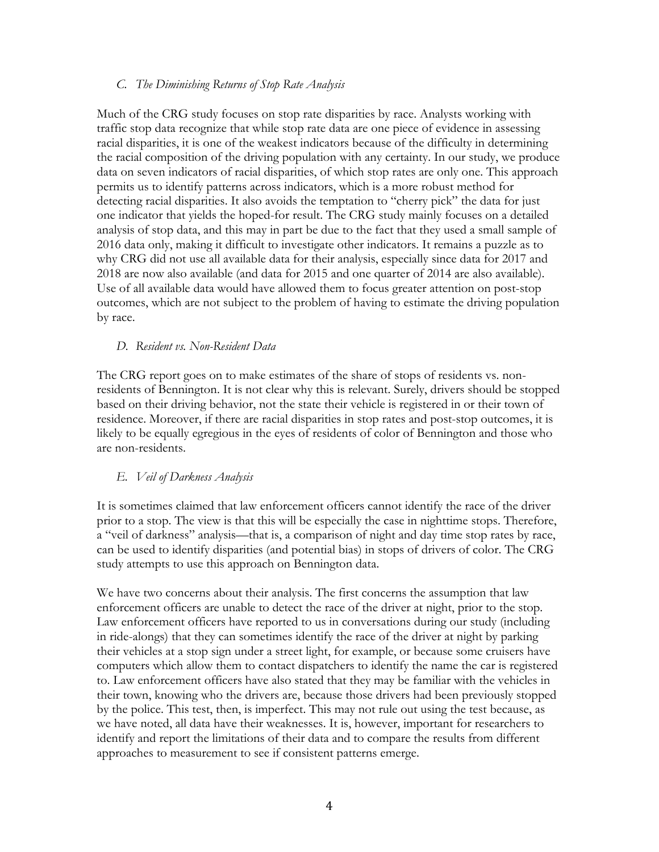#### *C. The Diminishing Returns of Stop Rate Analysis*

 Much of the CRG study focuses on stop rate disparities by race. Analysts working with traffic stop data recognize that while stop rate data are one piece of evidence in assessing racial disparities, it is one of the weakest indicators because of the difficulty in determining data on seven indicators of racial disparities, of which stop rates are only one. This approach permits us to identify patterns across indicators, which is a more robust method for detecting racial disparities. It also avoids the temptation to "cherry pick" the data for just one indicator that yields the hoped-for result. The CRG study mainly focuses on a detailed why CRG did not use all available data for their analysis, especially since data for 2017 and by race. the racial composition of the driving population with any certainty. In our study, we produce analysis of stop data, and this may in part be due to the fact that they used a small sample of 2016 data only, making it difficult to investigate other indicators. It remains a puzzle as to 2018 are now also available (and data for 2015 and one quarter of 2014 are also available). Use of all available data would have allowed them to focus greater attention on post-stop outcomes, which are not subject to the problem of having to estimate the driving population

#### *D. Resident vs. Non-Resident Data*

 residence. Moreover, if there are racial disparities in stop rates and post-stop outcomes, it is are non-residents. The CRG report goes on to make estimates of the share of stops of residents vs. nonresidents of Bennington. It is not clear why this is relevant. Surely, drivers should be stopped based on their driving behavior, not the state their vehicle is registered in or their town of likely to be equally egregious in the eyes of residents of color of Bennington and those who

#### *E. Veil of Darkness Analysis*

 It is sometimes claimed that law enforcement officers cannot identify the race of the driver prior to a stop. The view is that this will be especially the case in nighttime stops. Therefore, a "veil of darkness" analysis—that is, a comparison of night and day time stop rates by race, can be used to identify disparities (and potential bias) in stops of drivers of color. The CRG study attempts to use this approach on Bennington data.

 to. Law enforcement officers have also stated that they may be familiar with the vehicles in their town, knowing who the drivers are, because those drivers had been previously stopped by the police. This test, then, is imperfect. This may not rule out using the test because, as identify and report the limitations of their data and to compare the results from different We have two concerns about their analysis. The first concerns the assumption that law enforcement officers are unable to detect the race of the driver at night, prior to the stop. Law enforcement officers have reported to us in conversations during our study (including in ride-alongs) that they can sometimes identify the race of the driver at night by parking their vehicles at a stop sign under a street light, for example, or because some cruisers have computers which allow them to contact dispatchers to identify the name the car is registered we have noted, all data have their weaknesses. It is, however, important for researchers to approaches to measurement to see if consistent patterns emerge.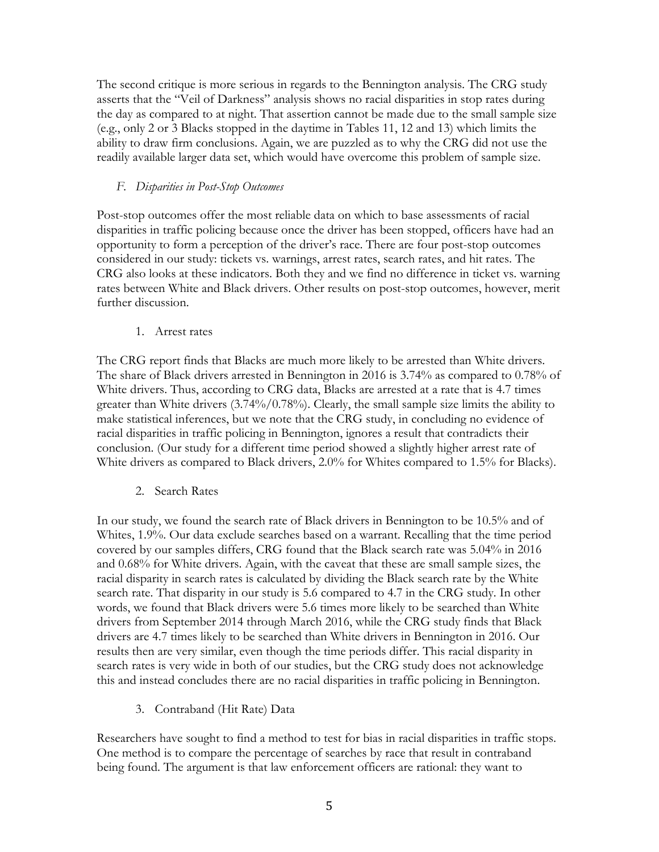asserts that the "Veil of Darkness" analysis shows no racial disparities in stop rates during readily available larger data set, which would have overcome this problem of sample size. The second critique is more serious in regards to the Bennington analysis. The CRG study the day as compared to at night. That assertion cannot be made due to the small sample size (e.g., only 2 or 3 Blacks stopped in the daytime in Tables 11, 12 and 13) which limits the ability to draw firm conclusions. Again, we are puzzled as to why the CRG did not use the

#### *F. Disparities in Post-Stop Outcomes*

 CRG also looks at these indicators. Both they and we find no difference in ticket vs. warning rates between White and Black drivers. Other results on post-stop outcomes, however, merit Post-stop outcomes offer the most reliable data on which to base assessments of racial disparities in traffic policing because once the driver has been stopped, officers have had an opportunity to form a perception of the driver's race. There are four post-stop outcomes considered in our study: tickets vs. warnings, arrest rates, search rates, and hit rates. The further discussion.

1. Arrest rates

 The share of Black drivers arrested in Bennington in 2016 is 3.74% as compared to 0.78% of White drivers. Thus, according to CRG data, Blacks are arrested at a rate that is 4.7 times White drivers as compared to Black drivers, 2.0% for Whites compared to 1.5% for Blacks). The CRG report finds that Blacks are much more likely to be arrested than White drivers. greater than White drivers (3.74%/0.78%). Clearly, the small sample size limits the ability to make statistical inferences, but we note that the CRG study, in concluding no evidence of racial disparities in traffic policing in Bennington, ignores a result that contradicts their conclusion. (Our study for a different time period showed a slightly higher arrest rate of

2. Search Rates

 racial disparity in search rates is calculated by dividing the Black search rate by the White search rate. That disparity in our study is 5.6 compared to 4.7 in the CRG study. In other results then are very similar, even though the time periods differ. This racial disparity in search rates is very wide in both of our studies, but the CRG study does not acknowledge this and instead concludes there are no racial disparities in traffic policing in Bennington. In our study, we found the search rate of Black drivers in Bennington to be 10.5% and of Whites, 1.9%. Our data exclude searches based on a warrant. Recalling that the time period covered by our samples differs, CRG found that the Black search rate was 5.04% in 2016 and 0.68% for White drivers. Again, with the caveat that these are small sample sizes, the words, we found that Black drivers were 5.6 times more likely to be searched than White drivers from September 2014 through March 2016, while the CRG study finds that Black drivers are 4.7 times likely to be searched than White drivers in Bennington in 2016. Our

3. Contraband (Hit Rate) Data

 being found. The argument is that law enforcement officers are rational: they want to Researchers have sought to find a method to test for bias in racial disparities in traffic stops. One method is to compare the percentage of searches by race that result in contraband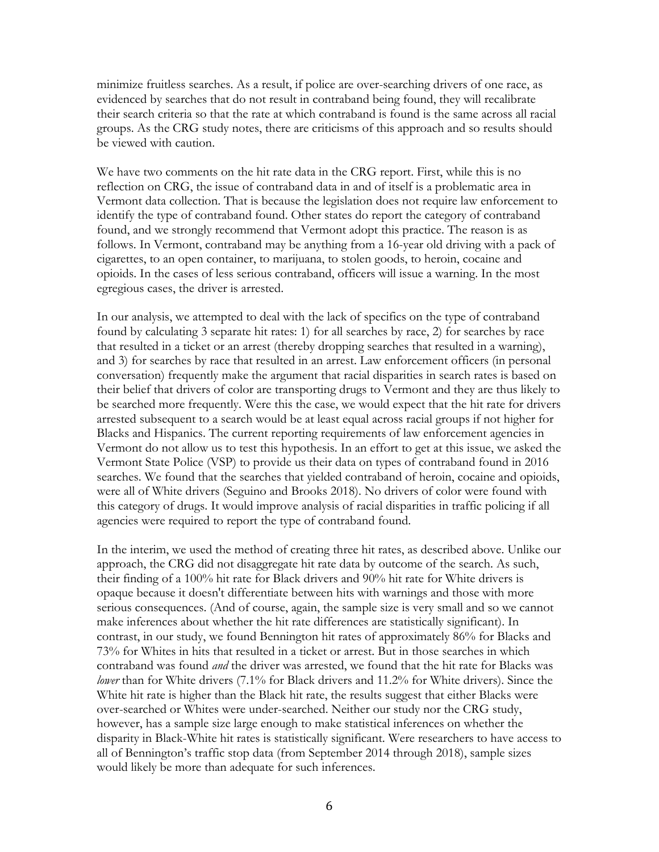minimize fruitless searches. As a result, if police are over-searching drivers of one race, as evidenced by searches that do not result in contraband being found, they will recalibrate their search criteria so that the rate at which contraband is found is the same across all racial groups. As the CRG study notes, there are criticisms of this approach and so results should be viewed with caution.

 Vermont data collection. That is because the legislation does not require law enforcement to identify the type of contraband found. Other states do report the category of contraband found, and we strongly recommend that Vermont adopt this practice. The reason is as cigarettes, to an open container, to marijuana, to stolen goods, to heroin, cocaine and opioids. In the cases of less serious contraband, officers will issue a warning. In the most egregious cases, the driver is arrested. We have two comments on the hit rate data in the CRG report. First, while this is no reflection on CRG, the issue of contraband data in and of itself is a problematic area in follows. In Vermont, contraband may be anything from a 16-year old driving with a pack of

egregious cases, the driver is arrested.<br>In our analysis, we attempted to deal with the lack of specifics on the type of contraband found by calculating 3 separate hit rates: 1) for all searches by race, 2) for searches by race and 3) for searches by race that resulted in an arrest. Law enforcement officers (in personal conversation) frequently make the argument that racial disparities in search rates is based on their belief that drivers of color are transporting drugs to Vermont and they are thus likely to arrested subsequent to a search would be at least equal across racial groups if not higher for Blacks and Hispanics. The current reporting requirements of law enforcement agencies in searches. We found that the searches that yielded contraband of heroin, cocaine and opioids, this category of drugs. It would improve analysis of racial disparities in traffic policing if all agencies were required to report the type of contraband found. that resulted in a ticket or an arrest (thereby dropping searches that resulted in a warning), be searched more frequently. Were this the case, we would expect that the hit rate for drivers Vermont do not allow us to test this hypothesis. In an effort to get at this issue, we asked the Vermont State Police (VSP) to provide us their data on types of contraband found in 2016 were all of White drivers (Seguino and Brooks 2018). No drivers of color were found with

 approach, the CRG did not disaggregate hit rate data by outcome of the search. As such, their finding of a 100% hit rate for Black drivers and 90% hit rate for White drivers is make inferences about whether the hit rate differences are statistically significant). In contrast, in our study, we found Bennington hit rates of approximately 86% for Blacks and 73% for Whites in hits that resulted in a ticket or arrest. But in those searches in which *lower* than for White drivers (7.1% for Black drivers and 11.2% for White drivers). Since the over-searched or Whites were under-searched. Neither our study nor the CRG study, however, has a sample size large enough to make statistical inferences on whether the disparity in Black-White hit rates is statistically significant. Were researchers to have access to all of Bennington's traffic stop data (from September 2014 through 2018), sample sizes would likely be more than adequate for such inferences. In the interim, we used the method of creating three hit rates, as described above. Unlike our opaque because it doesn't differentiate between hits with warnings and those with more serious consequences. (And of course, again, the sample size is very small and so we cannot contraband was found *and* the driver was arrested, we found that the hit rate for Blacks was White hit rate is higher than the Black hit rate, the results suggest that either Blacks were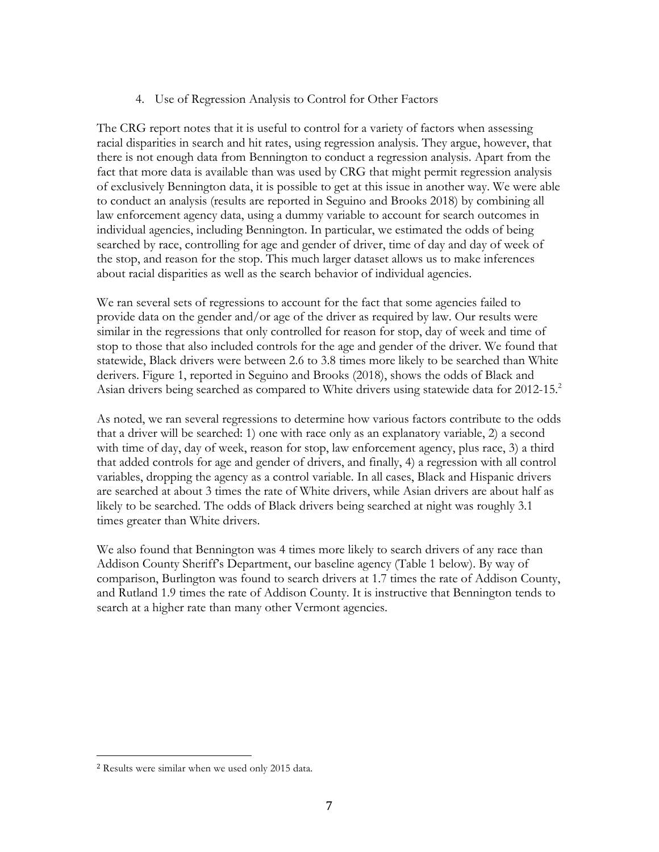4. Use of Regression Analysis to Control for Other Factors

 there is not enough data from Bennington to conduct a regression analysis. Apart from the fact that more data is available than was used by CRG that might permit regression analysis of exclusively Bennington data, it is possible to get at this issue in another way. We were able to conduct an analysis (results are reported in Seguino and Brooks 2018) by combining all searched by race, controlling for age and gender of driver, time of day and day of week of the stop, and reason for the stop. This much larger dataset allows us to make inferences The CRG report notes that it is useful to control for a variety of factors when assessing racial disparities in search and hit rates, using regression analysis. They argue, however, that law enforcement agency data, using a dummy variable to account for search outcomes in individual agencies, including Bennington. In particular, we estimated the odds of being about racial disparities as well as the search behavior of individual agencies.

 We ran several sets of regressions to account for the fact that some agencies failed to provide data on the gender and/or age of the driver as required by law. Our results were similar in the regressions that only controlled for reason for stop, day of week and time of stop to those that also included controls for the age and gender of the driver. We found that statewide, Black drivers were between 2.6 to 3.8 times more likely to be searched than White Asian drivers being searched as compared to White drivers using statewide data for 2012-15.<sup>2</sup> derivers. Figure 1, reported in Seguino and Brooks (2018), shows the odds of Black and

 likely to be searched. The odds of Black drivers being searched at night was roughly 3.1 times greater than White drivers. As noted, we ran several regressions to determine how various factors contribute to the odds that a driver will be searched: 1) one with race only as an explanatory variable, 2) a second with time of day, day of week, reason for stop, law enforcement agency, plus race, 3) a third that added controls for age and gender of drivers, and finally, 4) a regression with all control variables, dropping the agency as a control variable. In all cases, Black and Hispanic drivers are searched at about 3 times the rate of White drivers, while Asian drivers are about half as

times greater than White drivers.<br>We also found that Bennington was 4 times more likely to search drivers of any race than search at a higher rate than many other Vermont agencies. Addison County Sheriff's Department, our baseline agency (Table 1 below). By way of comparison, Burlington was found to search drivers at 1.7 times the rate of Addison County, and Rutland 1.9 times the rate of Addison County. It is instructive that Bennington tends to

 

 <sup>2</sup> Results were similar when we used only 2015 data.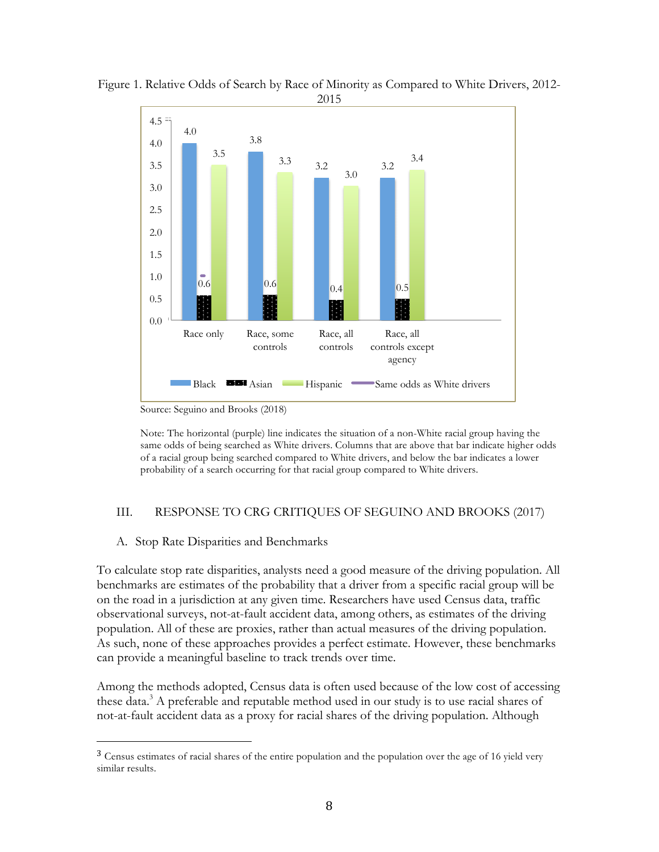

 Figure 1. Relative Odds of Search by Race of Minority as Compared to White Drivers, 2012- 2015

Source: Seguino and Brooks (2018)

 Note: The horizontal (purple) line indicates the situation of a non-White racial group having the same odds of being searched as White drivers. Columns that are above that bar indicate higher odds of a racial group being searched compared to White drivers, and below the bar indicates a lower probability of a search occurring for that racial group compared to White drivers.

#### III. RESPONSE TO CRG CRITIQUES OF SEGUINO AND BROOKS (2017)

#### A. Stop Rate Disparities and Benchmarks

 

 To calculate stop rate disparities, analysts need a good measure of the driving population. All population. All of these are proxies, rather than actual measures of the driving population. benchmarks are estimates of the probability that a driver from a specific racial group will be on the road in a jurisdiction at any given time. Researchers have used Census data, traffic observational surveys, not-at-fault accident data, among others, as estimates of the driving As such, none of these approaches provides a perfect estimate. However, these benchmarks can provide a meaningful baseline to track trends over time.

these data.<sup>3</sup> A preferable and reputable method used in our study is to use racial shares of not-at-fault accident data as a proxy for racial shares of the driving population. Although Among the methods adopted, Census data is often used because of the low cost of accessing

<sup>&</sup>lt;sup>3</sup> Census estimates of racial shares of the entire population and the population over the age of 16 yield very similar results.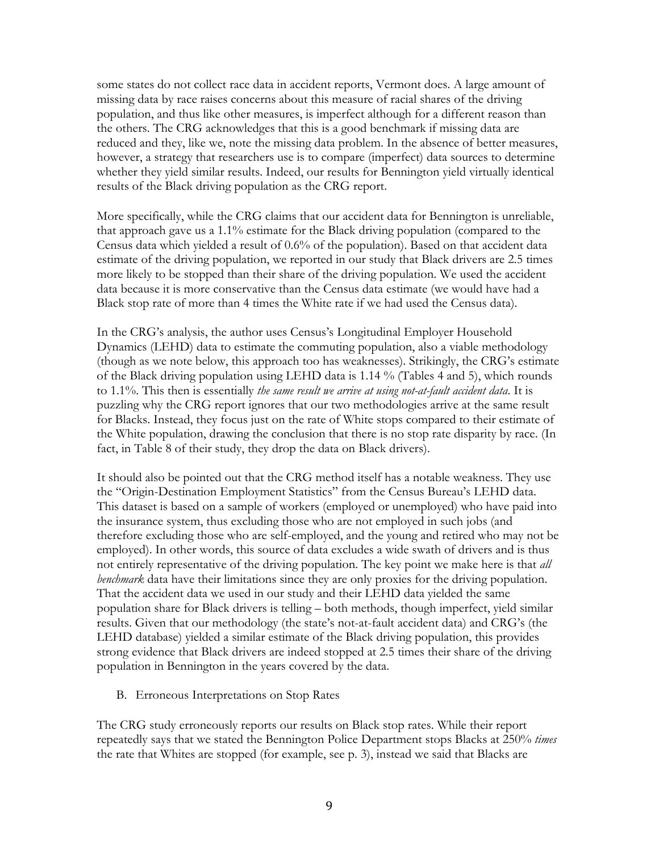missing data by race raises concerns about this measure of racial shares of the driving population, and thus like other measures, is imperfect although for a different reason than whether they yield similar results. Indeed, our results for Bennington yield virtually identical results of the Black driving population as the CRG report. some states do not collect race data in accident reports, Vermont does. A large amount of the others. The CRG acknowledges that this is a good benchmark if missing data are reduced and they, like we, note the missing data problem. In the absence of better measures, however, a strategy that researchers use is to compare (imperfect) data sources to determine

 that approach gave us a 1.1% estimate for the Black driving population (compared to the estimate of the driving population, we reported in our study that Black drivers are 2.5 times Black stop rate of more than 4 times the White rate if we had used the Census data). More specifically, while the CRG claims that our accident data for Bennington is unreliable, Census data which yielded a result of 0.6% of the population). Based on that accident data more likely to be stopped than their share of the driving population. We used the accident data because it is more conservative than the Census data estimate (we would have had a

 Dynamics (LEHD) data to estimate the commuting population, also a viable methodology (though as we note below, this approach too has weaknesses). Strikingly, the CRG's estimate of the Black driving population using LEHD data is 1.14 % (Tables 4 and 5), which rounds the White population, drawing the conclusion that there is no stop rate disparity by race. (In fact, in Table 8 of their study, they drop the data on Black drivers). In the CRG's analysis, the author uses Census's Longitudinal Employer Household to 1.1%. This then is essentially *the same result we arrive at using not-at-fault accident data*. It is puzzling why the CRG report ignores that our two methodologies arrive at the same result for Blacks. Instead, they focus just on the rate of White stops compared to their estimate of

 It should also be pointed out that the CRG method itself has a notable weakness. They use the "Origin-Destination Employment Statistics" from the Census Bureau's LEHD data. This dataset is based on a sample of workers (employed or unemployed) who have paid into *benchmark* data have their limitations since they are only proxies for the driving population. population share for Black drivers is telling – both methods, though imperfect, yield similar LEHD database) yielded a similar estimate of the Black driving population, this provides strong evidence that Black drivers are indeed stopped at 2.5 times their share of the driving the insurance system, thus excluding those who are not employed in such jobs (and therefore excluding those who are self-employed, and the young and retired who may not be employed). In other words, this source of data excludes a wide swath of drivers and is thus not entirely representative of the driving population. The key point we make here is that *all*  That the accident data we used in our study and their LEHD data yielded the same results. Given that our methodology (the state's not-at-fault accident data) and CRG's (the population in Bennington in the years covered by the data.

#### B. Erroneous Interpretations on Stop Rates

 repeatedly says that we stated the Bennington Police Department stops Blacks at 250% *times*  The CRG study erroneously reports our results on Black stop rates. While their report the rate that Whites are stopped (for example, see p. 3), instead we said that Blacks are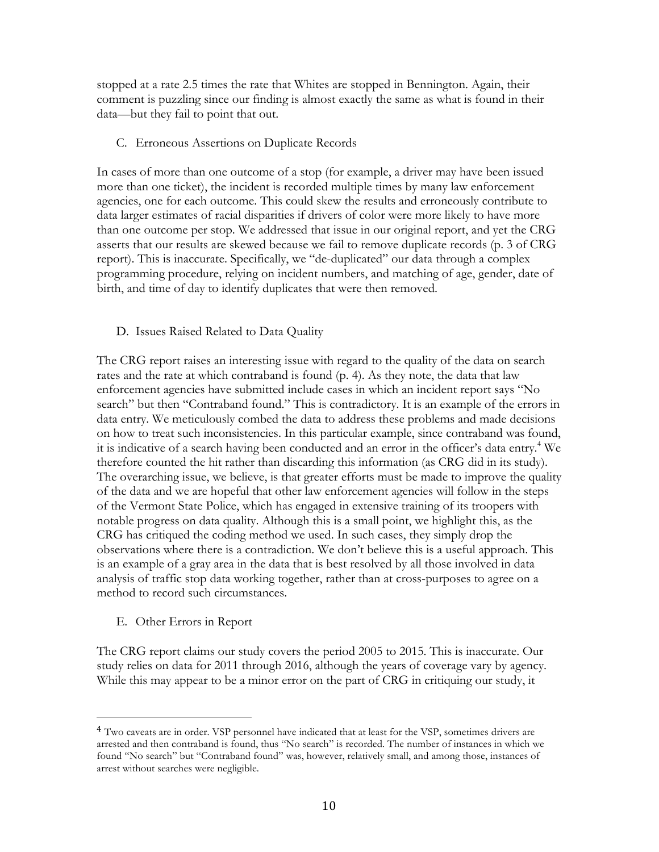stopped at a rate 2.5 times the rate that Whites are stopped in Bennington. Again, their data—but they fail to point that out. comment is puzzling since our finding is almost exactly the same as what is found in their

#### C. Erroneous Assertions on Duplicate Records

 data larger estimates of racial disparities if drivers of color were more likely to have more than one outcome per stop. We addressed that issue in our original report, and yet the CRG asserts that our results are skewed because we fail to remove duplicate records (p. 3 of CRG In cases of more than one outcome of a stop (for example, a driver may have been issued more than one ticket), the incident is recorded multiple times by many law enforcement agencies, one for each outcome. This could skew the results and erroneously contribute to report). This is inaccurate. Specifically, we "de-duplicated" our data through a complex programming procedure, relying on incident numbers, and matching of age, gender, date of birth, and time of day to identify duplicates that were then removed.

#### D. Issues Raised Related to Data Quality

 rates and the rate at which contraband is found (p. 4). As they note, the data that law enforcement agencies have submitted include cases in which an incident report says "No data entry. We meticulously combed the data to address these problems and made decisions on how to treat such inconsistencies. In this particular example, since contraband was found, The overarching issue, we believe, is that greater efforts must be made to improve the quality of the Vermont State Police, which has engaged in extensive training of its troopers with The CRG report raises an interesting issue with regard to the quality of the data on search search" but then "Contraband found." This is contradictory. It is an example of the errors in it is indicative of a search having been conducted and an error in the officer's data entry.<sup>4</sup> We therefore counted the hit rather than discarding this information (as CRG did in its study). of the data and we are hopeful that other law enforcement agencies will follow in the steps notable progress on data quality. Although this is a small point, we highlight this, as the CRG has critiqued the coding method we used. In such cases, they simply drop the observations where there is a contradiction. We don't believe this is a useful approach. This is an example of a gray area in the data that is best resolved by all those involved in data analysis of traffic stop data working together, rather than at cross-purposes to agree on a method to record such circumstances.

E. Other Errors in Report

 

The CRG report claims our study covers the period 2005 to 2015. This is inaccurate. Our study relies on data for 2011 through 2016, although the years of coverage vary by agency. While this may appear to be a minor error on the part of CRG in critiquing our study, it

<sup>&</sup>lt;sup>4</sup> Two caveats are in order. VSP personnel have indicated that at least for the VSP, sometimes drivers are arrested and then contraband is found, thus "No search" is recorded. The number of instances in which we found "No search" but "Contraband found" was, however, relatively small, and among those, instances of arrest without searches were negligible.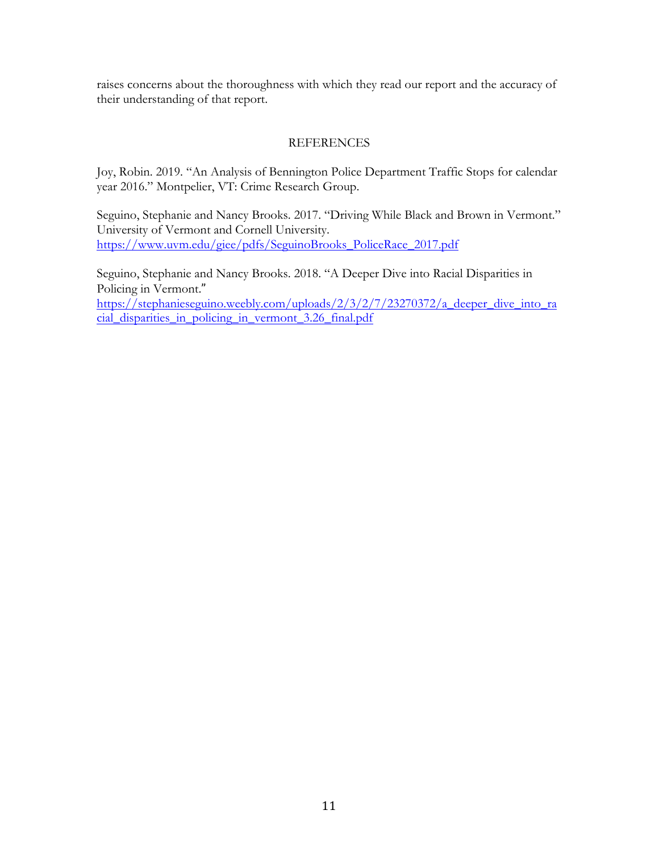raises concerns about the thoroughness with which they read our report and the accuracy of their understanding of that report.

#### REFERENCES

 Joy, Robin. 2019. "An Analysis of Bennington Police Department Traffic Stops for calendar year 2016." Montpelier, VT: Crime Research Group.

Seguino, Stephanie and Nancy Brooks. 2017. "Driving While Black and Brown in Vermont." University of Vermont and Cornell University. https://www.uvm.edu/giee/pdfs/SeguinoBrooks\_PoliceRace\_2017.pdf

Seguino, Stephanie and Nancy Brooks. 2018. "A Deeper Dive into Racial Disparities in Policing in Vermont." 

https://stephanieseguino.weebly.com/uploads/2/3/2/7/23270372/a\_deeper\_dive\_into\_ra cial\_disparities\_in\_policing\_in\_vermont\_3.26\_final.pdf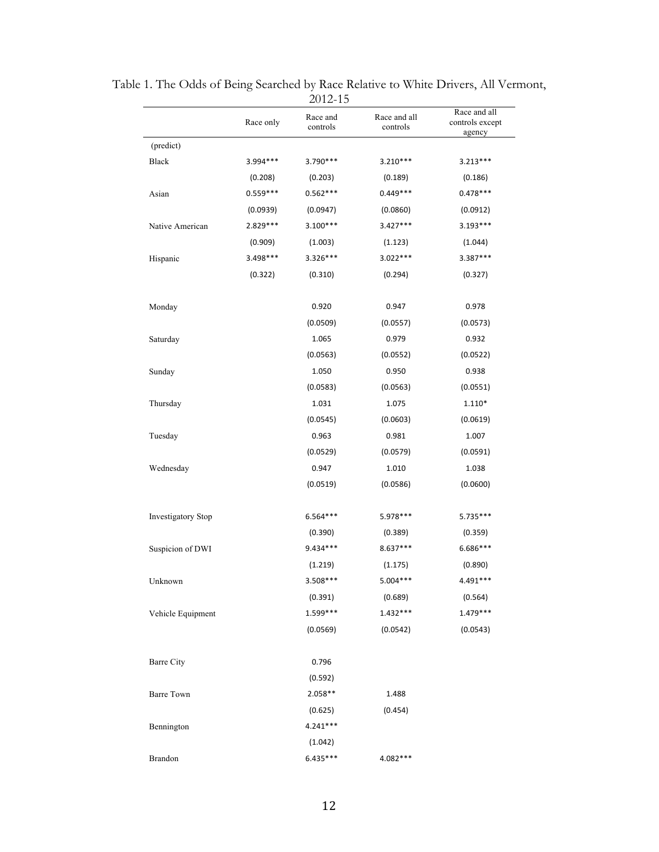|                    | Race only  | Race and<br>controls | Race and all<br>controls | Race and all<br>controls except<br>agency |
|--------------------|------------|----------------------|--------------------------|-------------------------------------------|
| (predict)          |            |                      |                          |                                           |
| Black              | 3.994 ***  | $3.790***$           | $3.210***$               | $3.213***$                                |
|                    | (0.208)    | (0.203)              | (0.189)                  | (0.186)                                   |
| Asian              | $0.559***$ | $0.562***$           | $0.449***$               | $0.478***$                                |
|                    | (0.0939)   | (0.0947)             | (0.0860)                 | (0.0912)                                  |
| Native American    | 2.829 ***  | $3.100***$           | $3.427***$               | $3.193***$                                |
|                    | (0.909)    | (1.003)              | (1.123)                  | (1.044)                                   |
| Hispanic           | 3.498***   | $3.326***$           | $3.022***$               | 3.387***                                  |
|                    | (0.322)    | (0.310)              | (0.294)                  | (0.327)                                   |
| Monday             |            | 0.920                | 0.947                    | 0.978                                     |
|                    |            | (0.0509)             | (0.0557)                 | (0.0573)                                  |
| Saturday           |            | 1.065                | 0.979                    | 0.932                                     |
|                    |            | (0.0563)             | (0.0552)                 | (0.0522)                                  |
| Sunday             |            | 1.050                | 0.950                    | 0.938                                     |
|                    |            | (0.0583)             | (0.0563)                 | (0.0551)                                  |
| Thursday           |            | 1.031                | 1.075                    | $1.110*$                                  |
|                    |            | (0.0545)             | (0.0603)                 | (0.0619)                                  |
| Tuesday            |            | 0.963                | 0.981                    | 1.007                                     |
|                    |            | (0.0529)             | (0.0579)                 | (0.0591)                                  |
| Wednesday          |            | 0.947                | 1.010                    | 1.038                                     |
|                    |            | (0.0519)             | (0.0586)                 | (0.0600)                                  |
| Investigatory Stop |            | 6.564***             | 5.978 ***                | 5.735***                                  |
|                    |            | (0.390)              | (0.389)                  | (0.359)                                   |
| Suspicion of DWI   |            | 9.434***             | $8.637***$               | 6.686***                                  |
|                    |            | (1.219)              | (1.175)                  | (0.890)                                   |
| Unknown            |            | 3.508***             | $5.004***$               | 4.491***                                  |
|                    |            | (0.391)              | (0.689)                  | (0.564)                                   |
| Vehicle Equipment  |            | $1.599***$           | $1.432***$               | $1.479***$                                |
|                    |            | (0.0569)             | (0.0542)                 | (0.0543)                                  |
| <b>Barre City</b>  |            | 0.796                |                          |                                           |
|                    |            | (0.592)              |                          |                                           |
| <b>Barre Town</b>  |            | 2.058**              | 1.488                    |                                           |
|                    |            | (0.625)              | (0.454)                  |                                           |
| Bennington         |            | $4.241***$           |                          |                                           |
|                    |            | (1.042)              |                          |                                           |
| Brandon            |            | $6.435***$           | 4.082 ***                |                                           |

Table 1. The Odds of Being Searched by Race Relative to White Drivers, All Vermont, 2012-15  $\overline{\phantom{0}}$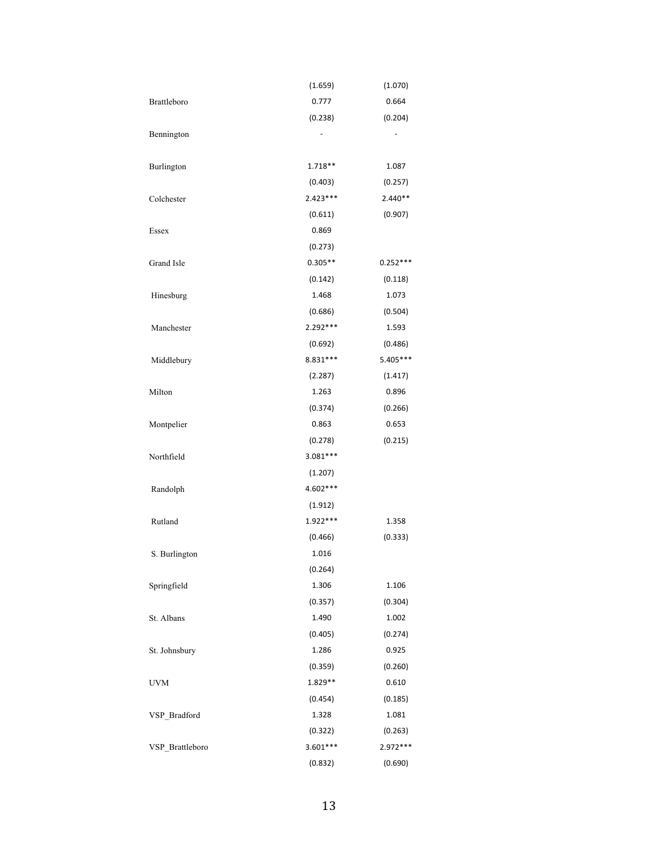|                 | (1.659)    | (1.070)    |
|-----------------|------------|------------|
| Brattleboro     | 0.777      | 0.664      |
|                 | (0.238)    | (0.204)    |
| Bennington      |            |            |
| Burlington      | 1.718 **   | 1.087      |
|                 | (0.403)    | (0.257)    |
| Colchester      | $2.423***$ | $2.440**$  |
|                 | (0.611)    | (0.907)    |
| Essex           | 0.869      |            |
|                 | (0.273)    |            |
| Grand Isle      | $0.305**$  | $0.252***$ |
|                 | (0.142)    | (0.118)    |
| Hinesburg       | 1.468      | 1.073      |
|                 | (0.686)    | (0.504)    |
| Manchester      | 2.292***   | 1.593      |
|                 | (0.692)    | (0.486)    |
| Middlebury      | 8.831 ***  | 5.405***   |
|                 | (2.287)    | (1.417)    |
| Milton          | 1.263      | 0.896      |
|                 | (0.374)    | (0.266)    |
| Montpelier      | 0.863      | 0.653      |
|                 | (0.278)    | (0.215)    |
| Northfield      | $3.081***$ |            |
|                 | (1.207)    |            |
| Randolph        | 4.602 ***  |            |
|                 | (1.912)    |            |
| Rutland         | $1.922***$ | 1.358      |
|                 | (0.466)    | (0.333)    |
| S. Burlington   | 1.016      |            |
|                 | (0.264)    |            |
| Springfield     | 1.306      | 1.106      |
|                 | (0.357)    | (0.304)    |
| St. Albans      | 1.490      | 1.002      |
|                 | (0.405)    | (0.274)    |
| St. Johnsbury   | 1.286      | 0.925      |
|                 | (0.359)    | (0.260)    |
| <b>UVM</b>      | 1.829 **   | 0.610      |
|                 | (0.454)    | (0.185)    |
| VSP Bradford    | 1.328      | 1.081      |
|                 | (0.322)    | (0.263)    |
| VSP_Brattleboro | $3.601***$ | 2.972 ***  |
|                 | (0.832)    | (0.690)    |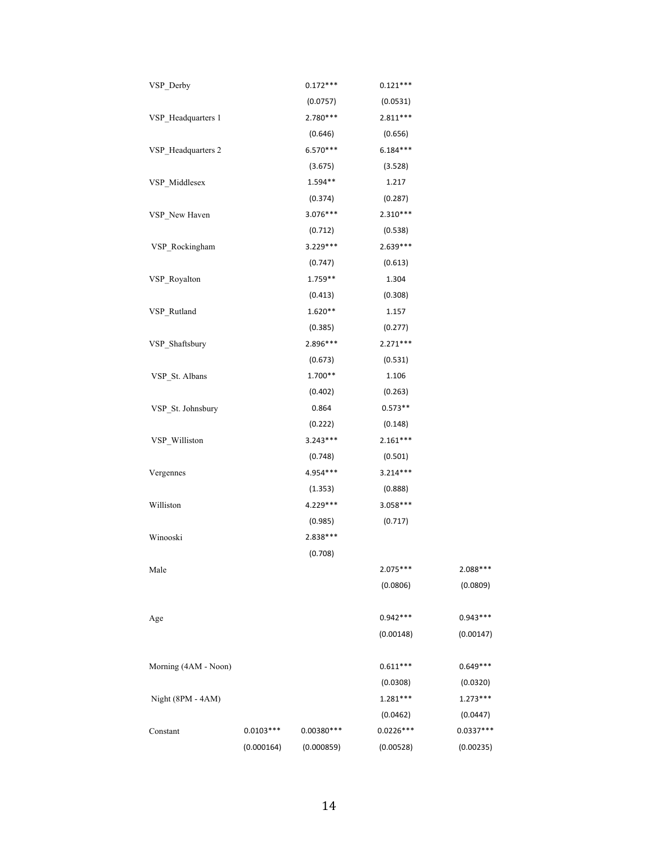| VSP_Derby            |             | $0.172***$   | $0.121***$  |             |
|----------------------|-------------|--------------|-------------|-------------|
|                      |             | (0.0757)     | (0.0531)    |             |
| VSP_Headquarters 1   |             | $2.780***$   | $2.811***$  |             |
|                      |             | (0.646)      | (0.656)     |             |
| VSP_Headquarters 2   |             | $6.570***$   | $6.184***$  |             |
|                      |             | (3.675)      | (3.528)     |             |
| VSP_Middlesex        |             | $1.594**$    | 1.217       |             |
|                      |             | (0.374)      | (0.287)     |             |
| VSP_New Haven        |             | $3.076***$   | $2.310***$  |             |
|                      |             | (0.712)      | (0.538)     |             |
| VSP_Rockingham       |             | $3.229***$   | $2.639***$  |             |
|                      |             | (0.747)      | (0.613)     |             |
| VSP_Royalton         |             | $1.759**$    | 1.304       |             |
|                      |             | (0.413)      | (0.308)     |             |
| VSP_Rutland          |             | $1.620**$    | 1.157       |             |
|                      |             | (0.385)      | (0.277)     |             |
| VSP_Shaftsbury       |             | 2.896 ***    | $2.271***$  |             |
|                      |             | (0.673)      | (0.531)     |             |
| VSP_St. Albans       |             | $1.700**$    | 1.106       |             |
|                      |             | (0.402)      | (0.263)     |             |
| VSP_St. Johnsbury    |             | 0.864        | $0.573**$   |             |
|                      |             | (0.222)      | (0.148)     |             |
| VSP_Williston        |             | $3.243***$   | $2.161***$  |             |
|                      |             | (0.748)      | (0.501)     |             |
| Vergennes            |             | 4.954 ***    | $3.214***$  |             |
|                      |             | (1.353)      | (0.888)     |             |
| Williston            |             | 4.229 ***    | $3.058***$  |             |
|                      |             | (0.985)      | (0.717)     |             |
| Winooski             |             | 2.838 ***    |             |             |
|                      |             | (0.708)      |             |             |
| Male                 |             |              | $2.075***$  | 2.088***    |
|                      |             |              | (0.0806)    | (0.0809)    |
| Age                  |             |              | $0.942***$  | $0.943***$  |
|                      |             |              | (0.00148)   | (0.00147)   |
| Morning (4AM - Noon) |             |              | $0.611***$  | $0.649***$  |
|                      |             |              | (0.0308)    | (0.0320)    |
| Night (8PM - 4AM)    |             |              | $1.281***$  | $1.273***$  |
|                      |             |              | (0.0462)    | (0.0447)    |
| Constant             | $0.0103***$ | $0.00380***$ | $0.0226***$ | $0.0337***$ |
|                      | (0.000164)  | (0.000859)   | (0.00528)   | (0.00235)   |